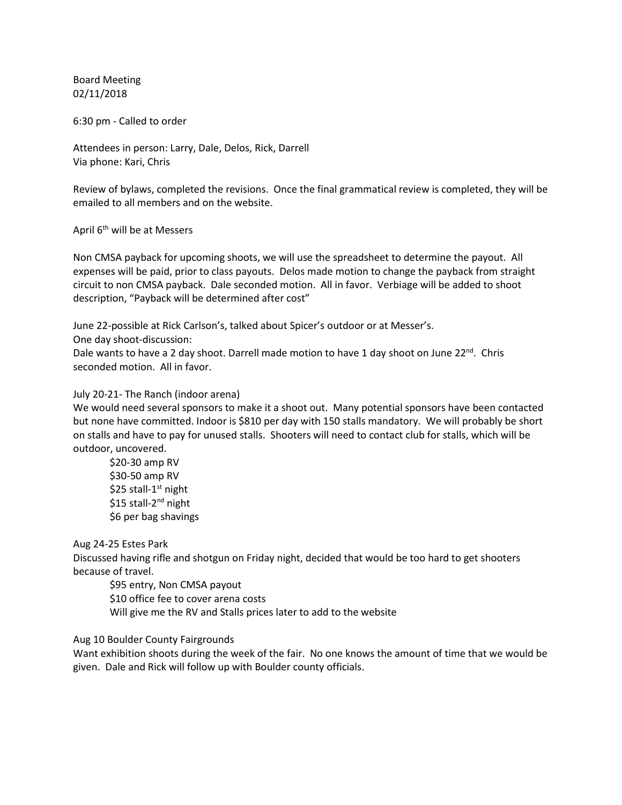Board Meeting 02/11/2018

6:30 pm - Called to order

Attendees in person: Larry, Dale, Delos, Rick, Darrell Via phone: Kari, Chris

Review of bylaws, completed the revisions. Once the final grammatical review is completed, they will be emailed to all members and on the website.

April 6th will be at Messers

Non CMSA payback for upcoming shoots, we will use the spreadsheet to determine the payout. All expenses will be paid, prior to class payouts. Delos made motion to change the payback from straight circuit to non CMSA payback. Dale seconded motion. All in favor. Verbiage will be added to shoot description, "Payback will be determined after cost"

June 22-possible at Rick Carlson's, talked about Spicer's outdoor or at Messer's.

One day shoot-discussion:

Dale wants to have a 2 day shoot. Darrell made motion to have 1 day shoot on June 22<sup>nd</sup>. Chris seconded motion. All in favor.

## July 20-21- The Ranch (indoor arena)

We would need several sponsors to make it a shoot out. Many potential sponsors have been contacted but none have committed. Indoor is \$810 per day with 150 stalls mandatory. We will probably be short on stalls and have to pay for unused stalls. Shooters will need to contact club for stalls, which will be outdoor, uncovered.

\$20-30 amp RV \$30-50 amp RV \$25 stall-1<sup>st</sup> night \$15 stall-2<sup>nd</sup> night \$6 per bag shavings

Aug 24-25 Estes Park

Discussed having rifle and shotgun on Friday night, decided that would be too hard to get shooters because of travel.

\$95 entry, Non CMSA payout \$10 office fee to cover arena costs Will give me the RV and Stalls prices later to add to the website

Aug 10 Boulder County Fairgrounds

Want exhibition shoots during the week of the fair. No one knows the amount of time that we would be given. Dale and Rick will follow up with Boulder county officials.